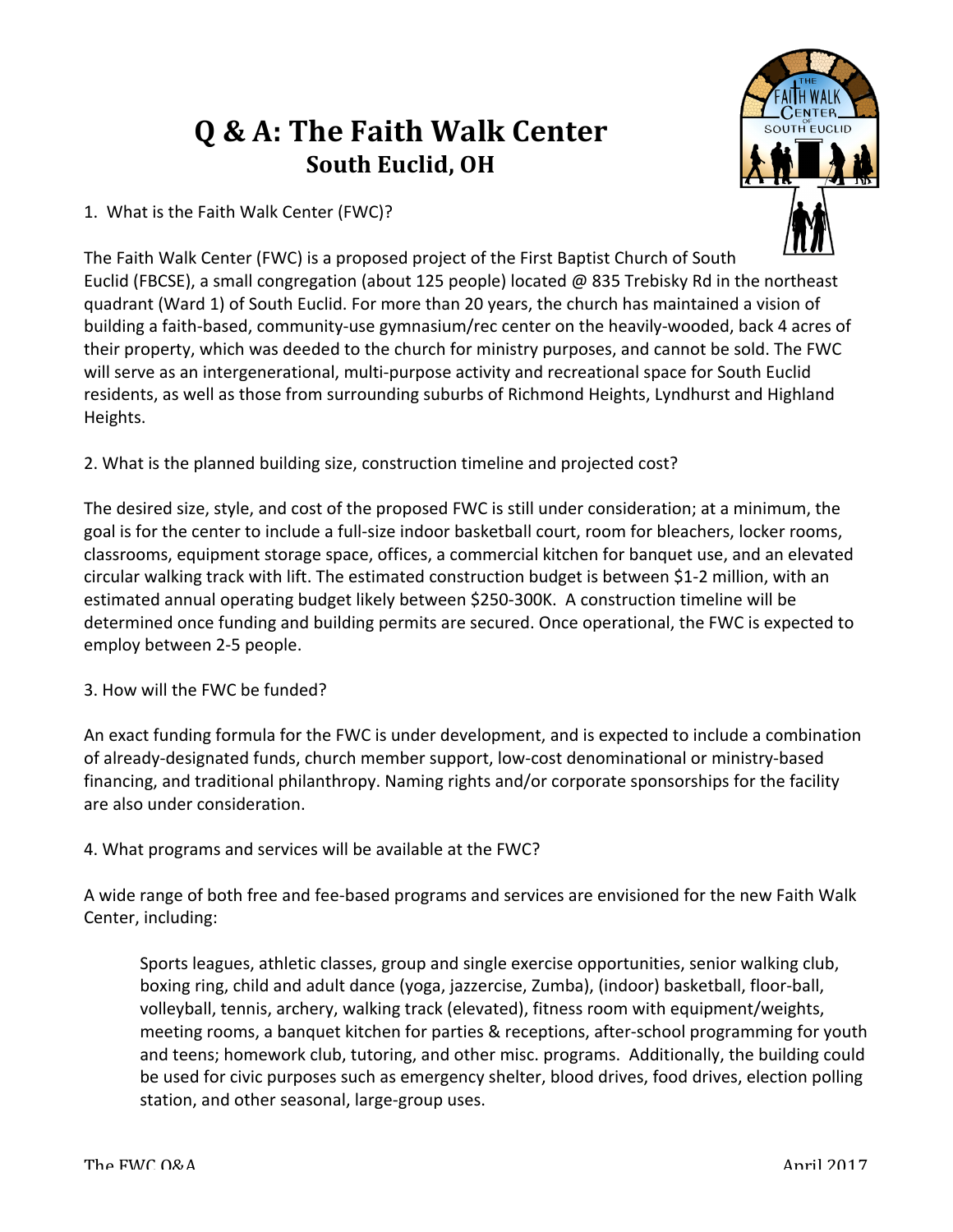## **Q & A: The Faith Walk Center South Euclid, OH**

1. What is the Faith Walk Center (FWC)?



The Faith Walk Center (FWC) is a proposed project of the First Baptist Church of South Euclid (FBCSE), a small congregation (about 125 people) located @ 835 Trebisky Rd in the northeast quadrant (Ward 1) of South Euclid. For more than 20 years, the church has maintained a vision of building a faith-based, community-use gymnasium/rec center on the heavily-wooded, back 4 acres of their property, which was deeded to the church for ministry purposes, and cannot be sold. The FWC will serve as an intergenerational, multi-purpose activity and recreational space for South Euclid residents, as well as those from surrounding suburbs of Richmond Heights, Lyndhurst and Highland Heights.

2. What is the planned building size, construction timeline and projected cost?

The desired size, style, and cost of the proposed FWC is still under consideration; at a minimum, the goal is for the center to include a full-size indoor basketball court, room for bleachers, locker rooms, classrooms, equipment storage space, offices, a commercial kitchen for banquet use, and an elevated circular walking track with lift. The estimated construction budget is between \$1-2 million, with an estimated annual operating budget likely between \$250-300K. A construction timeline will be determined once funding and building permits are secured. Once operational, the FWC is expected to employ between 2-5 people.

3. How will the FWC be funded?

An exact funding formula for the FWC is under development, and is expected to include a combination of already-designated funds, church member support, low-cost denominational or ministry-based financing, and traditional philanthropy. Naming rights and/or corporate sponsorships for the facility are also under consideration.

4. What programs and services will be available at the FWC?

A wide range of both free and fee-based programs and services are envisioned for the new Faith Walk Center, including:

Sports leagues, athletic classes, group and single exercise opportunities, senior walking club, boxing ring, child and adult dance (yoga, jazzercise, Zumba), (indoor) basketball, floor-ball, volleyball, tennis, archery, walking track (elevated), fitness room with equipment/weights, meeting rooms, a banquet kitchen for parties & receptions, after-school programming for youth and teens; homework club, tutoring, and other misc. programs. Additionally, the building could be used for civic purposes such as emergency shelter, blood drives, food drives, election polling station, and other seasonal, large-group uses.